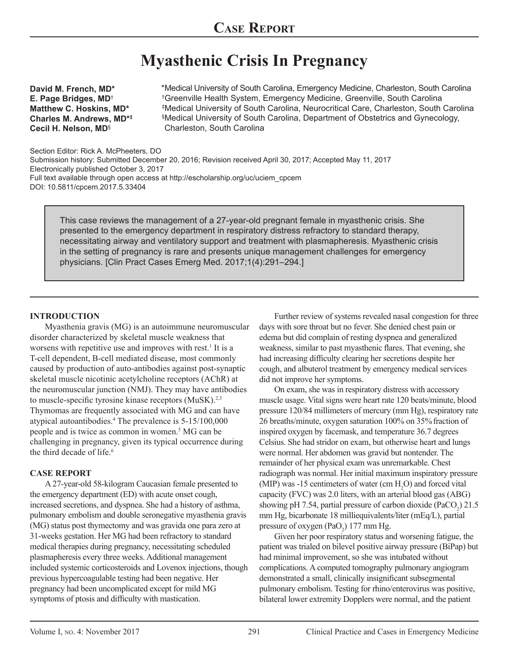# **Myasthenic Crisis In Pregnancy**

**David M. French, MD\* E. Page Bridges, MD**† **Matthew C. Hoskins, MD\* Charles M. Andrews, MD\*‡ Cecil H. Nelson, MD**§

Medical University of South Carolina, Emergency Medicine, Charleston, South Carolina \* Greenville Health System, Emergency Medicine, Greenville, South Carolina † Medical University of South Carolina, Neurocritical Care, Charleston, South Carolina ‡ Medical University of South Carolina, Department of Obstetrics and Gynecology, § Charleston, South Carolina

Section Editor: Rick A. McPheeters, DO

Submission history: Submitted December 20, 2016; Revision received April 30, 2017; Accepted May 11, 2017 Electronically published October 3, 2017 Full text available through open access at http://escholarship.org/uc/uciem\_cpcem DOI: 10.5811/cpcem.2017.5.33404

This case reviews the management of a 27-year-old pregnant female in myasthenic crisis. She presented to the emergency department in respiratory distress refractory to standard therapy, necessitating airway and ventilatory support and treatment with plasmapheresis. Myasthenic crisis in the setting of pregnancy is rare and presents unique management challenges for emergency physicians. [Clin Pract Cases Emerg Med. 2017;1(4):291–294.]

## **INTRODUCTION**

Myasthenia gravis (MG) is an autoimmune neuromuscular disorder characterized by skeletal muscle weakness that worsens with repetitive use and improves with rest.<sup>1</sup> It is a T-cell dependent, B-cell mediated disease, most commonly caused by production of auto-antibodies against post-synaptic skeletal muscle nicotinic acetylcholine receptors (AChR) at the neuromuscular junction (NMJ). They may have antibodies to muscle-specific tyrosine kinase receptors (MuSK).<sup>2,3</sup> Thymomas are frequently associated with MG and can have atypical autoantibodies.4 The prevalence is 5-15/100,000 people and is twice as common in women.<sup>5</sup> MG can be challenging in pregnancy, given its typical occurrence during the third decade of life.<sup>6</sup>

## **CASE REPORT**

A 27-year-old 58-kilogram Caucasian female presented to the emergency department (ED) with acute onset cough, increased secretions, and dyspnea. She had a history of asthma, pulmonary embolism and double seronegative myasthenia gravis (MG) status post thymectomy and was gravida one para zero at 31-weeks gestation. Her MG had been refractory to standard medical therapies during pregnancy, necessitating scheduled plasmapheresis every three weeks. Additional management included systemic corticosteroids and Lovenox injections, though previous hypercoagulable testing had been negative. Her pregnancy had been uncomplicated except for mild MG symptoms of ptosis and difficulty with mastication.

Further review of systems revealed nasal congestion for three days with sore throat but no fever. She denied chest pain or edema but did complain of resting dyspnea and generalized weakness, similar to past myasthenic flares. That evening, she had increasing difficulty clearing her secretions despite her cough, and albuterol treatment by emergency medical services did not improve her symptoms.

On exam, she was in respiratory distress with accessory muscle usage. Vital signs were heart rate 120 beats/minute, blood pressure 120/84 millimeters of mercury (mm Hg), respiratory rate 26 breaths/minute, oxygen saturation 100% on 35% fraction of inspired oxygen by facemask, and temperature 36.7 degrees Celsius. She had stridor on exam, but otherwise heart and lungs were normal. Her abdomen was gravid but nontender. The remainder of her physical exam was unremarkable. Chest radiograph was normal. Her initial maximum inspiratory pressure (MIP) was -15 centimeters of water (cm  $H_2O$ ) and forced vital capacity (FVC) was 2.0 liters, with an arterial blood gas (ABG) showing pH 7.54, partial pressure of carbon dioxide  $(PaCO<sub>2</sub>)$  21.5 mm Hg, bicarbonate 18 milliequivalents/liter (mEq/L), partial pressure of oxygen  $(PaO<sub>2</sub>)$  177 mm Hg.

Given her poor respiratory status and worsening fatigue, the patient was trialed on bilevel positive airway pressure (BiPap) but had minimal improvement, so she was intubated without complications. A computed tomography pulmonary angiogram demonstrated a small, clinically insignificant subsegmental pulmonary embolism. Testing for rhino/enterovirus was positive, bilateral lower extremity Dopplers were normal, and the patient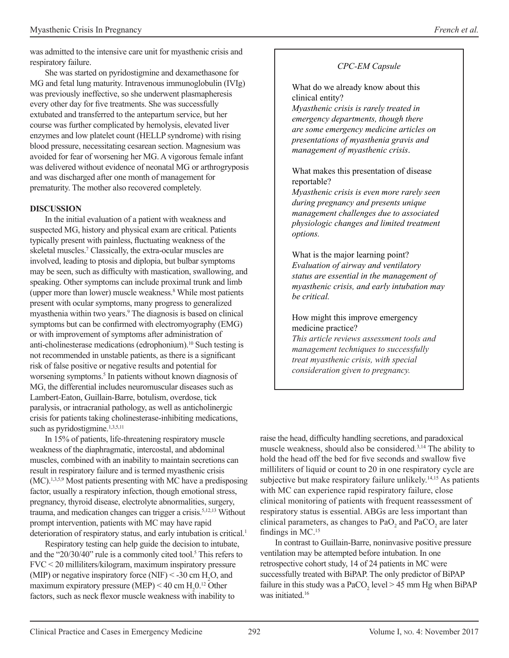was admitted to the intensive care unit for myasthenic crisis and respiratory failure.

She was started on pyridostigmine and dexamethasone for MG and fetal lung maturity. Intravenous immunoglobulin (IVIg) was previously ineffective, so she underwent plasmapheresis every other day for five treatments. She was successfully extubated and transferred to the antepartum service, but her course was further complicated by hemolysis, elevated liver enzymes and low platelet count (HELLP syndrome) with rising blood pressure, necessitating cesarean section. Magnesium was avoided for fear of worsening her MG. A vigorous female infant was delivered without evidence of neonatal MG or arthrogryposis and was discharged after one month of management for prematurity. The mother also recovered completely.

## **DISCUSSION**

In the initial evaluation of a patient with weakness and suspected MG, history and physical exam are critical. Patients typically present with painless, fluctuating weakness of the skeletal muscles.<sup>7</sup> Classically, the extra-ocular muscles are involved, leading to ptosis and diplopia, but bulbar symptoms may be seen, such as difficulty with mastication, swallowing, and speaking. Other symptoms can include proximal trunk and limb (upper more than lower) muscle weakness.8 While most patients present with ocular symptoms, many progress to generalized myasthenia within two years.<sup>9</sup> The diagnosis is based on clinical symptoms but can be confirmed with electromyography (EMG) or with improvement of symptoms after administration of anti-cholinesterase medications (edrophonium).10 Such testing is not recommended in unstable patients, as there is a significant risk of false positive or negative results and potential for worsening symptoms.<sup>5</sup> In patients without known diagnosis of MG, the differential includes neuromuscular diseases such as Lambert-Eaton, Guillain-Barre, botulism, overdose, tick paralysis, or intracranial pathology, as well as anticholinergic crisis for patients taking cholinesterase-inhibiting medications, such as pyridostigmine.<sup>1,3,5,11</sup>

In 15% of patients, life-threatening respiratory muscle weakness of the diaphragmatic, intercostal, and abdominal muscles, combined with an inability to maintain secretions can result in respiratory failure and is termed myasthenic crisis (MC).1,3,5,9 Most patients presenting with MC have a predisposing factor, usually a respiratory infection, though emotional stress, pregnancy, thyroid disease, electrolyte abnormalities, surgery, trauma, and medication changes can trigger a crisis.5,12,13 Without prompt intervention, patients with MC may have rapid deterioration of respiratory status, and early intubation is critical.<sup>1</sup>

Respiratory testing can help guide the decision to intubate, and the "20/30/40" rule is a commonly cited tool.<sup>5</sup> This refers to FVC < 20 milliliters/kilogram, maximum inspiratory pressure (MIP) or negative inspiratory force (NIF) < -30 cm  $H_2O$ , and maximum expiratory pressure (MEP)  $<$  40 cm  $H<sub>2</sub>0<sup>12</sup>$  Other factors, such as neck flexor muscle weakness with inability to

# *CPC-EM Capsule*

What do we already know about this clinical entity?

*Myasthenic crisis is rarely treated in emergency departments, though there are some emergency medicine articles on presentations of myasthenia gravis and management of myasthenic crisis*.

# What makes this presentation of disease reportable?

*Myasthenic crisis is even more rarely seen during pregnancy and presents unique management challenges due to associated physiologic changes and limited treatment options.*

What is the major learning point? *Evaluation of airway and ventilatory status are essential in the management of myasthenic crisis, and early intubation may be critical.*

# How might this improve emergency medicine practice?

*This article reviews assessment tools and management techniques to successfully treat myasthenic crisis, with special consideration given to pregnancy.*

raise the head, difficulty handling secretions, and paradoxical muscle weakness, should also be considered.3,14 The ability to hold the head off the bed for five seconds and swallow five milliliters of liquid or count to 20 in one respiratory cycle are subjective but make respiratory failure unlikely.<sup>14,15</sup> As patients with MC can experience rapid respiratory failure, close clinical monitoring of patients with frequent reassessment of respiratory status is essential. ABGs are less important than clinical parameters, as changes to  $PaO_2$  and  $PaCO_2$  are later findings in MC.<sup>15</sup>

In contrast to Guillain-Barre, noninvasive positive pressure ventilation may be attempted before intubation. In one retrospective cohort study, 14 of 24 patients in MC were successfully treated with BiPAP. The only predictor of BiPAP failure in this study was a  $PaCO<sub>2</sub>$  level  $> 45$  mm Hg when BiPAP was initiated.<sup>16</sup>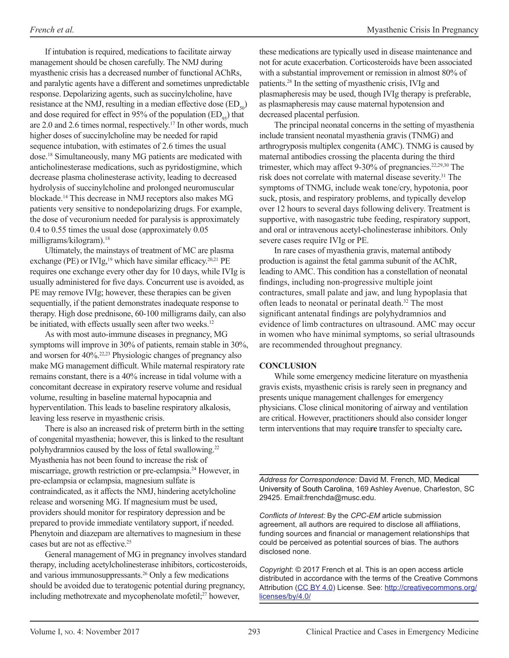If intubation is required, medications to facilitate airway management should be chosen carefully. The NMJ during myasthenic crisis has a decreased number of functional AChRs, and paralytic agents have a different and sometimes unpredictable response. Depolarizing agents, such as succinylcholine, have resistance at the NMJ, resulting in a median effective dose  $(ED_{s0})$ and dose required for effect in 95% of the population  $(ED_{0.5})$  that are 2.0 and 2.6 times normal, respectively.17 In other words, much higher doses of succinylcholine may be needed for rapid sequence intubation, with estimates of 2.6 times the usual dose.18 Simultaneously, many MG patients are medicated with anticholinesterase medications, such as pyridostigmine, which decrease plasma cholinesterase activity, leading to decreased hydrolysis of succinylcholine and prolonged neuromuscular blockade.14 This decrease in NMJ receptors also makes MG patients very sensitive to nondepolarizing drugs. For example, the dose of vecuronium needed for paralysis is approximately 0.4 to 0.55 times the usual dose (approximately 0.05 milligrams/kilogram).18

Ultimately, the mainstays of treatment of MC are plasma exchange (PE) or IVIg,<sup>19</sup> which have similar efficacy.<sup>20,21</sup> PE requires one exchange every other day for 10 days, while IVIg is usually administered for five days. Concurrent use is avoided, as PE may remove IVIg; however, these therapies can be given sequentially, if the patient demonstrates inadequate response to therapy. High dose prednisone, 60-100 milligrams daily, can also be initiated, with effects usually seen after two weeks.<sup>12</sup>

As with most auto-immune diseases in pregnancy, MG symptoms will improve in 30% of patients, remain stable in 30%, and worsen for 40%.22,23 Physiologic changes of pregnancy also make MG management difficult. While maternal respiratory rate remains constant, there is a 40% increase in tidal volume with a concomitant decrease in expiratory reserve volume and residual volume, resulting in baseline maternal hypocapnia and hyperventilation. This leads to baseline respiratory alkalosis, leaving less reserve in myasthenic crisis.

There is also an increased risk of preterm birth in the setting of congenital myasthenia; however, this is linked to the resultant polyhydramnios caused by the loss of fetal swallowing.<sup>22</sup> Myasthenia has not been found to increase the risk of miscarriage, growth restriction or pre-eclampsia.24 However, in pre-eclampsia or eclampsia, magnesium sulfate is contraindicated, as it affects the NMJ, hindering acetylcholine release and worsening MG. If magnesium must be used, providers should monitor for respiratory depression and be prepared to provide immediate ventilatory support, if needed. Phenytoin and diazepam are alternatives to magnesium in these cases but are not as effective.<sup>25</sup>

General management of MG in pregnancy involves standard therapy, including acetylcholinesterase inhibitors, corticosteroids, and various immunosuppressants.26 Only a few medications should be avoided due to teratogenic potential during pregnancy, including methotrexate and mycophenolate mofetil;<sup>27</sup> however,

these medications are typically used in disease maintenance and not for acute exacerbation. Corticosteroids have been associated with a substantial improvement or remission in almost 80% of patients.28 In the setting of myasthenic crisis, IVIg and plasmapheresis may be used, though IVIg therapy is preferable, as plasmapheresis may cause maternal hypotension and decreased placental perfusion.

The principal neonatal concerns in the setting of myasthenia include transient neonatal myasthenia gravis (TNMG) and arthrogryposis multiplex congenita (AMC). TNMG is caused by maternal antibodies crossing the placenta during the third trimester, which may affect 9-30% of pregnancies.<sup>22,29,30</sup> The risk does not correlate with maternal disease severity.<sup>31</sup> The symptoms of TNMG, include weak tone/cry, hypotonia, poor suck, ptosis, and respiratory problems, and typically develop over 12 hours to several days following delivery. Treatment is supportive, with nasogastric tube feeding, respiratory support, and oral or intravenous acetyl-cholinesterase inhibitors. Only severe cases require IVIg or PE.

In rare cases of myasthenia gravis, maternal antibody production is against the fetal gamma subunit of the AChR, leading to AMC. This condition has a constellation of neonatal findings, including non-progressive multiple joint contractures, small palate and jaw, and lung hypoplasia that often leads to neonatal or perinatal death.<sup>32</sup> The most significant antenatal findings are polyhydramnios and evidence of limb contractures on ultrasound. AMC may occur in women who have minimal symptoms, so serial ultrasounds are recommended throughout pregnancy.

## **CONCLUSION**

While some emergency medicine literature on myasthenia gravis exists, myasthenic crisis is rarely seen in pregnancy and presents unique management challenges for emergency physicians. Close clinical monitoring of airway and ventilation are critical. However, practitioners should also consider longer term interventions that may requi**re** transfer to specialty care**.**

*Address for Correspondence:* David M. French, MD, Medical University of South Carolina, 169 Ashley Avenue, Charleston, SC 29425. Email:frenchda@musc.edu.

*Conflicts of Interest:* By the *CPC-EM* article submission agreement, all authors are required to disclose all affiliations, funding sources and financial or management relationships that could be perceived as potential sources of bias. The authors disclosed none.

*Copyright*: © 2017 French et al. This is an open access article distributed in accordance with the terms of the Creative Commons Attribution (CC BY 4.0) License. See: http://creativecommons.org/ licenses/by/4.0/